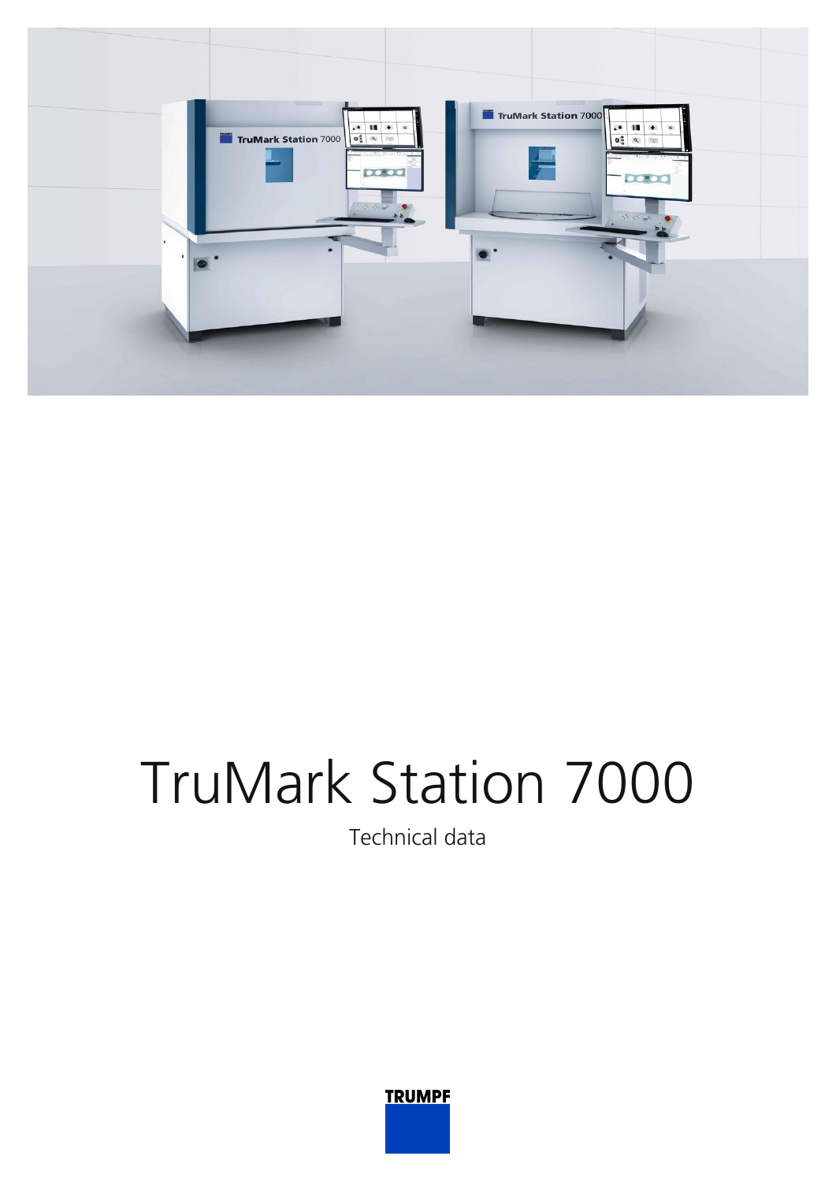

## TruMark Station 7000

Technical data